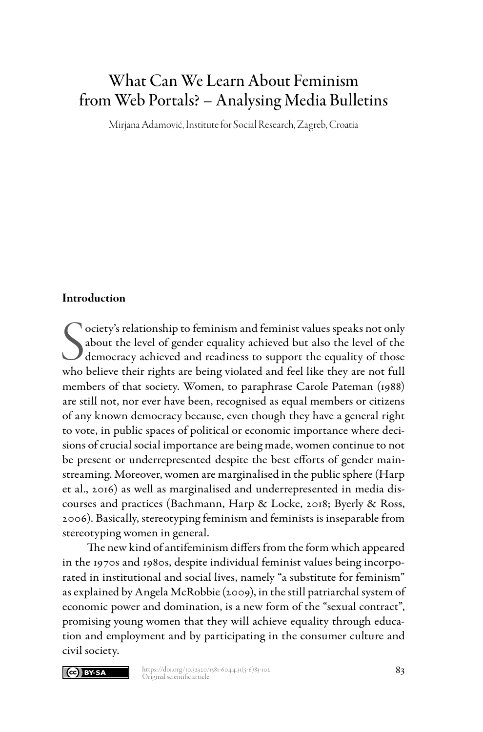# What Can We Learn About Feminism from Web Portals? – Analysing Media Bulletins

Mirjana Adamović, Institute for Social Research, Zagreb, Croatia

#### Introduction

S<br>who ociety's relationship to feminism and feminist values speaks not only about the level of gender equality achieved but also the level of the democracy achieved and readiness to support the equality of those who believe their rights are being violated and feel like they are not full members of that society. Women, to paraphrase Carole Pateman (1988) are still not, nor ever have been, recognised as equal members or citizens of any known democracy because, even though they have a general right to vote, in public spaces of political or economic importance where decisions of crucial social importance are being made, women continue to not be present or underrepresented despite the best efforts of gender mainstreaming. Moreover, women are marginalised in the public sphere (Harp et al., 2016) as well as marginalised and underrepresented in media discourses and practices (Bachmann, Harp & Locke, 2018; Byerly & Ross, 2006). Basically, stereotyping feminism and feminists is inseparable from stereotyping women in general.

The new kind of antifeminism differs from the form which appeared in the 1970s and 1980s, despite individual feminist values being incorporated in institutional and social lives, namely "a substitute for feminism" as explained by Angela McRobbie (2009), in the still patriarchal system of economic power and domination, is a new form of the "sexual contract", promising young women that they will achieve equality through education and employment and by participating in the consumer culture and civil society.

#### Cc) BY-SA

https://doi.org/10.32320/1581-6044.31(5-6)83-102<br>Original scientific article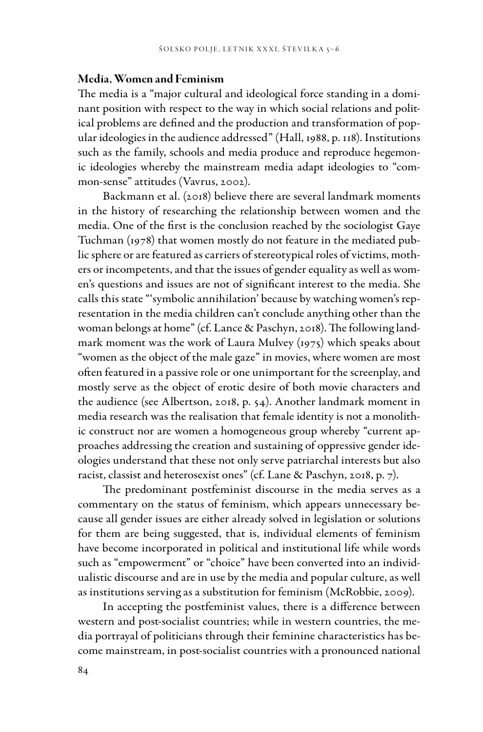#### Media, Women and Feminism

The media is a "major cultural and ideological force standing in a dominant position with respect to the way in which social relations and political problems are defined and the production and transformation of popular ideologies in the audience addressed" (Hall, 1988, p. 118). Institutions such as the family, schools and media produce and reproduce hegemonic ideologies whereby the mainstream media adapt ideologies to "common-sense" attitudes (Vavrus, 2002).

Backmann et al. (2018) believe there are several landmark moments in the history of researching the relationship between women and the media. One of the first is the conclusion reached by the sociologist Gaye Tuchman (1978) that women mostly do not feature in the mediated public sphere or are featured as carriers of stereotypical roles of victims, mothers or incompetents, and that the issues of gender equality as well as women's questions and issues are not of significant interest to the media. She calls this state "'symbolic annihilation' because by watching women's representation in the media children can't conclude anything other than the woman belongs at home" (cf. Lance & Paschyn, 2018). The following landmark moment was the work of Laura Mulvey (1975) which speaks about "women as the object of the male gaze" in movies, where women are most often featured in a passive role or one unimportant for the screenplay, and mostly serve as the object of erotic desire of both movie characters and the audience (see Albertson, 2018, p. 54). Another landmark moment in media research was the realisation that female identity is not a monolithic construct nor are women a homogeneous group whereby "current approaches addressing the creation and sustaining of oppressive gender ideologies understand that these not only serve patriarchal interests but also racist, classist and heterosexist ones" (cf. Lane & Paschyn, 2018, p. 7).

The predominant postfeminist discourse in the media serves as a commentary on the status of feminism, which appears unnecessary because all gender issues are either already solved in legislation or solutions for them are being suggested, that is, individual elements of feminism have become incorporated in political and institutional life while words such as "empowerment" or "choice" have been converted into an individualistic discourse and are in use by the media and popular culture, as well as institutions serving as a substitution for feminism (McRobbie, 2009).

In accepting the postfeminist values, there is a difference between western and post-socialist countries; while in western countries, the media portrayal of politicians through their feminine characteristics has become mainstream, in post-socialist countries with a pronounced national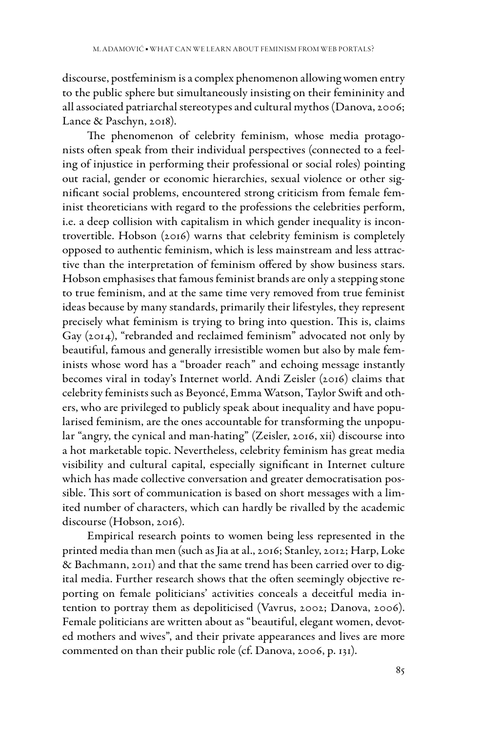discourse, postfeminism is a complex phenomenon allowing women entry to the public sphere but simultaneously insisting on their femininity and all associated patriarchal stereotypes and cultural mythos (Danova, 2006; Lance & Paschyn, 2018).

The phenomenon of celebrity feminism, whose media protagonists often speak from their individual perspectives (connected to a feeling of injustice in performing their professional or social roles) pointing out racial, gender or economic hierarchies, sexual violence or other significant social problems, encountered strong criticism from female feminist theoreticians with regard to the professions the celebrities perform, i.e. a deep collision with capitalism in which gender inequality is incontrovertible. Hobson (2016) warns that celebrity feminism is completely opposed to authentic feminism, which is less mainstream and less attractive than the interpretation of feminism offered by show business stars. Hobson emphasises that famous feminist brands are only a stepping stone to true feminism, and at the same time very removed from true feminist ideas because by many standards, primarily their lifestyles, they represent precisely what feminism is trying to bring into question. This is, claims Gay (2014), "rebranded and reclaimed feminism" advocated not only by beautiful, famous and generally irresistible women but also by male feminists whose word has a "broader reach" and echoing message instantly becomes viral in today's Internet world. Andi Zeisler (2016) claims that celebrity feminists such as Beyoncé, Emma Watson, Taylor Swift and others, who are privileged to publicly speak about inequality and have popularised feminism, are the ones accountable for transforming the unpopular "angry, the cynical and man-hating" (Zeisler, 2016, xii) discourse into a hot marketable topic. Nevertheless, celebrity feminism has great media visibility and cultural capital, especially significant in Internet culture which has made collective conversation and greater democratisation possible. This sort of communication is based on short messages with a limited number of characters, which can hardly be rivalled by the academic discourse (Hobson, 2016).

Empirical research points to women being less represented in the printed media than men (such as Jia at al., 2016; Stanley, 2012; Harp, Loke & Bachmann, 2011) and that the same trend has been carried over to digital media. Further research shows that the often seemingly objective reporting on female politicians' activities conceals a deceitful media intention to portray them as depoliticised (Vavrus, 2002; Danova, 2006). Female politicians are written about as "beautiful, elegant women, devoted mothers and wives", and their private appearances and lives are more commented on than their public role (cf. Danova, 2006, p. 131).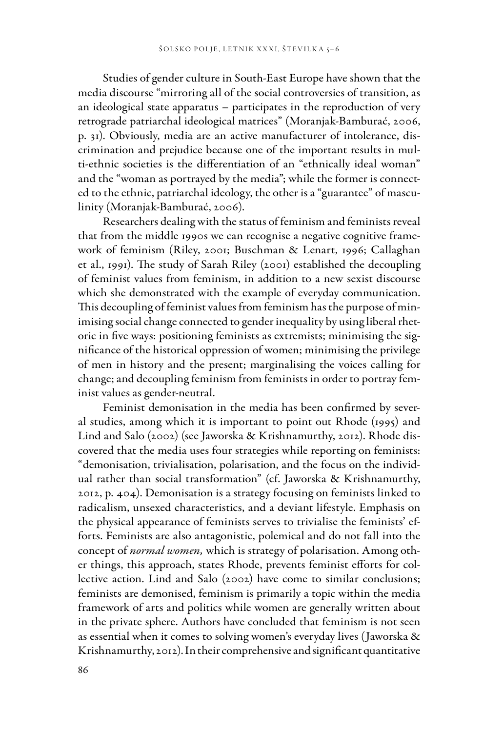Studies of gender culture in South-East Europe have shown that the media discourse "mirroring all of the social controversies of transition, as an ideological state apparatus – participates in the reproduction of very retrograde patriarchal ideological matrices" (Moranjak-Bamburać, 2006, p. 31). Obviously, media are an active manufacturer of intolerance, discrimination and prejudice because one of the important results in multi-ethnic societies is the differentiation of an "ethnically ideal woman" and the "woman as portrayed by the media"; while the former is connected to the ethnic, patriarchal ideology, the other is a "guarantee" of masculinity (Moranjak-Bamburać, 2006).

Researchers dealing with the status of feminism and feminists reveal that from the middle 1990s we can recognise a negative cognitive framework of feminism (Riley, 2001; Buschman & Lenart, 1996; Callaghan et al., 1991). The study of Sarah Riley (2001) established the decoupling of feminist values from feminism, in addition to a new sexist discourse which she demonstrated with the example of everyday communication. This decoupling of feminist values from feminism has the purpose of minimising social change connected to gender inequality by using liberal rhetoric in five ways: positioning feminists as extremists; minimising the significance of the historical oppression of women; minimising the privilege of men in history and the present; marginalising the voices calling for change; and decoupling feminism from feminists in order to portray feminist values as gender-neutral.

Feminist demonisation in the media has been confirmed by several studies, among which it is important to point out Rhode (1995) and Lind and Salo (2002) (see Jaworska & Krishnamurthy, 2012). Rhode discovered that the media uses four strategies while reporting on feminists: "demonisation, trivialisation, polarisation, and the focus on the individual rather than social transformation" (cf. Jaworska & Krishnamurthy, 2012, p. 404). Demonisation is a strategy focusing on feminists linked to radicalism, unsexed characteristics, and a deviant lifestyle. Emphasis on the physical appearance of feminists serves to trivialise the feminists' efforts. Feminists are also antagonistic, polemical and do not fall into the concept of *normal women,* which is strategy of polarisation. Among other things, this approach, states Rhode, prevents feminist efforts for collective action. Lind and Salo (2002) have come to similar conclusions; feminists are demonised, feminism is primarily a topic within the media framework of arts and politics while women are generally written about in the private sphere. Authors have concluded that feminism is not seen as essential when it comes to solving women's everyday lives (Jaworska & Krishnamurthy, 2012). In their comprehensive and significant quantitative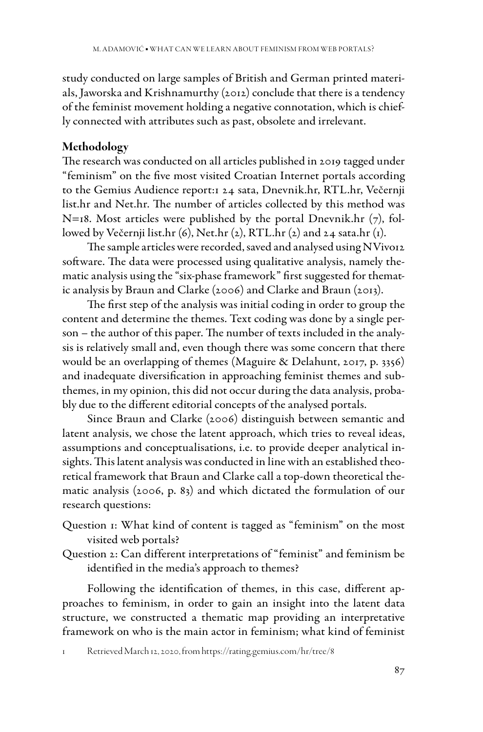study conducted on large samples of British and German printed materials, Jaworska and Krishnamurthy (2012) conclude that there is a tendency of the feminist movement holding a negative connotation, which is chiefly connected with attributes such as past, obsolete and irrelevant.

# Methodology

The research was conducted on all articles published in 2019 tagged under "feminism" on the five most visited Croatian Internet portals according to the Gemius Audience report:1 24 sata, Dnevnik.hr, RTL.hr, Večernji list.hr and Net.hr. The number of articles collected by this method was  $N=18$ . Most articles were published by the portal Dnevnik.hr (7), followed by Večernji list.hr (6), Net.hr (2), RTL.hr (2) and 24 sata.hr (1).

The sample articles were recorded, saved and analysed using NVivo12 software. The data were processed using qualitative analysis, namely thematic analysis using the "six-phase framework" first suggested for thematic analysis by Braun and Clarke (2006) and Clarke and Braun (2013).

The first step of the analysis was initial coding in order to group the content and determine the themes. Text coding was done by a single person – the author of this paper. The number of texts included in the analysis is relatively small and, even though there was some concern that there would be an overlapping of themes (Maguire & Delahunt, 2017, p. 3356) and inadequate diversification in approaching feminist themes and subthemes, in my opinion, this did not occur during the data analysis, probably due to the different editorial concepts of the analysed portals.

Since Braun and Clarke (2006) distinguish between semantic and latent analysis, we chose the latent approach, which tries to reveal ideas, assumptions and conceptualisations, i.e. to provide deeper analytical insights. This latent analysis was conducted in line with an established theoretical framework that Braun and Clarke call a top-down theoretical thematic analysis (2006, p. 83) and which dictated the formulation of our research questions:

- Question 1: What kind of content is tagged as "feminism" on the most visited web portals?
- Question 2: Can different interpretations of "feminist" and feminism be identified in the media's approach to themes?

Following the identification of themes, in this case, different approaches to feminism, in order to gain an insight into the latent data structure, we constructed a thematic map providing an interpretative framework on who is the main actor in feminism; what kind of feminist

1 Retrieved March 12, 2020, from https://rating.gemius.com/hr/tree/8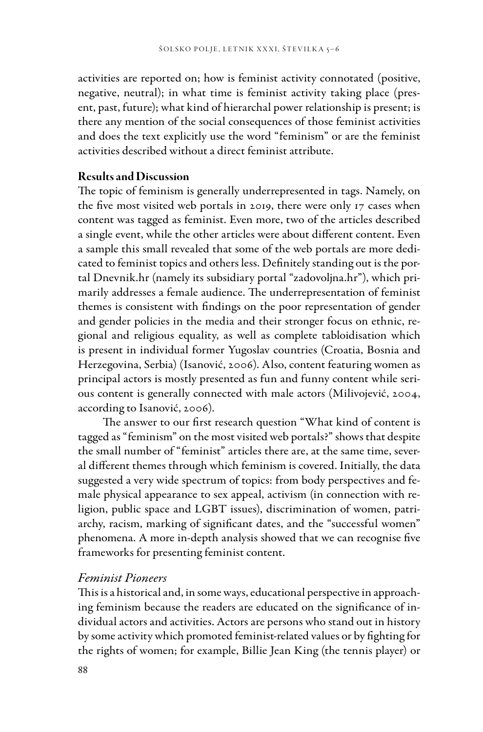activities are reported on; how is feminist activity connotated (positive, negative, neutral); in what time is feminist activity taking place (present, past, future); what kind of hierarchal power relationship is present; is there any mention of the social consequences of those feminist activities and does the text explicitly use the word "feminism" or are the feminist activities described without a direct feminist attribute.

#### Results and Discussion

The topic of feminism is generally underrepresented in tags. Namely, on the five most visited web portals in 2019, there were only 17 cases when content was tagged as feminist. Even more, two of the articles described a single event, while the other articles were about different content. Even a sample this small revealed that some of the web portals are more dedicated to feminist topics and others less. Definitely standing out is the portal Dnevnik.hr (namely its subsidiary portal "zadovoljna.hr"), which primarily addresses a female audience. The underrepresentation of feminist themes is consistent with findings on the poor representation of gender and gender policies in the media and their stronger focus on ethnic, regional and religious equality, as well as complete tabloidisation which is present in individual former Yugoslav countries (Croatia, Bosnia and Herzegovina, Serbia) (Isanović, 2006). Also, content featuring women as principal actors is mostly presented as fun and funny content while serious content is generally connected with male actors (Milivojević, 2004, according to Isanović, 2006).

The answer to our first research question "What kind of content is tagged as "feminism" on the most visited web portals?" shows that despite the small number of "feminist" articles there are, at the same time, several different themes through which feminism is covered. Initially, the data suggested a very wide spectrum of topics: from body perspectives and female physical appearance to sex appeal, activism (in connection with religion, public space and LGBT issues), discrimination of women, patriarchy, racism, marking of significant dates, and the "successful women" phenomena. A more in-depth analysis showed that we can recognise five frameworks for presenting feminist content.

#### *Feminist Pioneers*

This is a historical and, in some ways, educational perspective in approaching feminism because the readers are educated on the significance of individual actors and activities. Actors are persons who stand out in history by some activity which promoted feminist-related values or by fighting for the rights of women; for example, Billie Jean King (the tennis player) or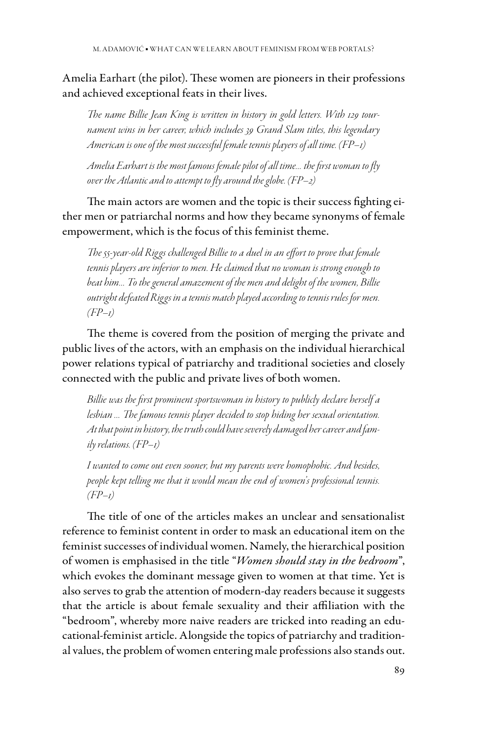Amelia Earhart (the pilot). These women are pioneers in their professions and achieved exceptional feats in their lives.

*The name Billie Jean King is written in history in gold letters. With 129 tournament wins in her career, which includes 39 Grand Slam titles, this legendary American is one of the most successful female tennis players of all time. (FP–1)*

*Amelia Earhart is the most famous female pilot of all time… the first woman to fly over the Atlantic and to attempt to fly around the globe. (FP–2)*

The main actors are women and the topic is their success fighting either men or patriarchal norms and how they became synonyms of female empowerment, which is the focus of this feminist theme.

*The 55-year-old Riggs challenged Billie to a duel in an effort to prove that female tennis players are inferior to men. He claimed that no woman is strong enough to beat him… To the general amazement of the men and delight of the women, Billie outright defeated Riggs in a tennis match played according to tennis rules for men. (FP–1)*

The theme is covered from the position of merging the private and public lives of the actors, with an emphasis on the individual hierarchical power relations typical of patriarchy and traditional societies and closely connected with the public and private lives of both women.

*Billie was the first prominent sportswoman in history to publicly declare herself a lesbian … The famous tennis player decided to stop hiding her sexual orientation. At that point in history, the truth could have severely damaged her career and family relations. (FP–1)*

*I wanted to come out even sooner, but my parents were homophobic. And besides, people kept telling me that it would mean the end of women's professional tennis. (FP–1)*

The title of one of the articles makes an unclear and sensationalist reference to feminist content in order to mask an educational item on the feminist successes of individual women. Namely, the hierarchical position of women is emphasised in the title "*Women should stay in the bedroom*", which evokes the dominant message given to women at that time. Yet is also serves to grab the attention of modern-day readers because it suggests that the article is about female sexuality and their affiliation with the "bedroom", whereby more naive readers are tricked into reading an educational-feminist article. Alongside the topics of patriarchy and traditional values, the problem of women entering male professions also stands out.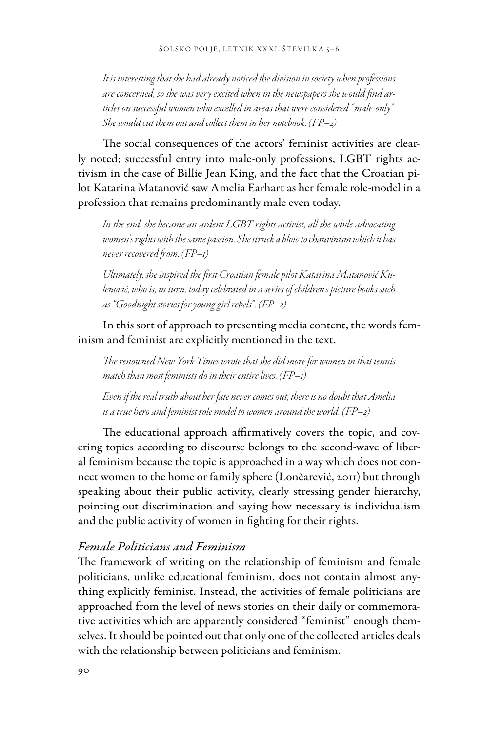*It is interesting that she had already noticed the division in society when professions are concerned, so she was very excited when in the newspapers she would find articles on successful women who excelled in areas that were considered "male-only". She would cut them out and collect them in her notebook. (FP–2)*

The social consequences of the actors' feminist activities are clearly noted; successful entry into male-only professions, LGBT rights activism in the case of Billie Jean King, and the fact that the Croatian pilot Katarina Matanović saw Amelia Earhart as her female role-model in a profession that remains predominantly male even today.

*In the end, she became an ardent LGBT rights activist, all the while advocating women's rights with the same passion. She struck a blow to chauvinism which it has never recovered from. (FP–1)*

*Ultimately, she inspired the first Croatian female pilot Katarina Matanović Kulenović, who is, in turn, today celebrated in a series of children's picture books such as "Goodnight stories for young girl rebels". (FP–2)*

In this sort of approach to presenting media content, the words feminism and feminist are explicitly mentioned in the text.

*The renowned New York Times wrote that she did more for women in that tennis match than most feminists do in their entire lives. (FP–1)*

*Even if the real truth about her fate never comes out, there is no doubt that Amelia is a true hero and feminist role model to women around the world. (FP–2)*

The educational approach affirmatively covers the topic, and covering topics according to discourse belongs to the second-wave of liberal feminism because the topic is approached in a way which does not connect women to the home or family sphere (Lončarević, 2011) but through speaking about their public activity, clearly stressing gender hierarchy, pointing out discrimination and saying how necessary is individualism and the public activity of women in fighting for their rights.

#### *Female Politicians and Feminism*

The framework of writing on the relationship of feminism and female politicians, unlike educational feminism, does not contain almost anything explicitly feminist. Instead, the activities of female politicians are approached from the level of news stories on their daily or commemorative activities which are apparently considered "feminist" enough themselves. It should be pointed out that only one of the collected articles deals with the relationship between politicians and feminism.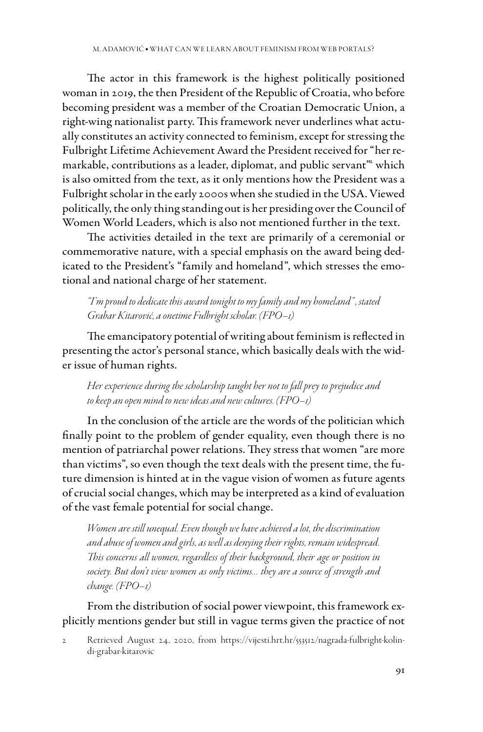The actor in this framework is the highest politically positioned woman in 2019, the then President of the Republic of Croatia, who before becoming president was a member of the Croatian Democratic Union, a right-wing nationalist party. This framework never underlines what actually constitutes an activity connected to feminism, except for stressing the Fulbright Lifetime Achievement Award the President received for "her remarkable, contributions as a leader, diplomat, and public servant<sup>m</sup> which is also omitted from the text, as it only mentions how the President was a Fulbright scholar in the early 2000s when she studied in the USA. Viewed politically, the only thing standing out is her presiding over the Council of Women World Leaders, which is also not mentioned further in the text.

The activities detailed in the text are primarily of a ceremonial or commemorative nature, with a special emphasis on the award being dedicated to the President's "family and homeland", which stresses the emotional and national charge of her statement.

*"I'm proud to dedicate this award tonight to my family and my homeland" , stated Grabar Kitarović, a onetime Fulbright scholar. (FPO–1)*

The emancipatory potential of writing about feminism is reflected in presenting the actor's personal stance, which basically deals with the wider issue of human rights.

*Her experience during the scholarship taught her not to fall prey to prejudice and to keep an open mind to new ideas and new cultures. (FPO–1)*

In the conclusion of the article are the words of the politician which finally point to the problem of gender equality, even though there is no mention of patriarchal power relations. They stress that women "are more than victims", so even though the text deals with the present time, the future dimension is hinted at in the vague vision of women as future agents of crucial social changes, which may be interpreted as a kind of evaluation of the vast female potential for social change.

*Women are still unequal. Even though we have achieved a lot, the discrimination and abuse of women and girls, as well as denying their rights, remain widespread. This concerns all women, regardless of their background, their age or position in society. But don't view women as only victims… they are a source of strength and change. (FPO–1)*

From the distribution of social power viewpoint, this framework explicitly mentions gender but still in vague terms given the practice of not

<sup>2</sup> Retrieved August 24, 2020, from https://vijesti.hrt.hr/553512/nagrada-fulbright-kolindi-grabar-kitarovic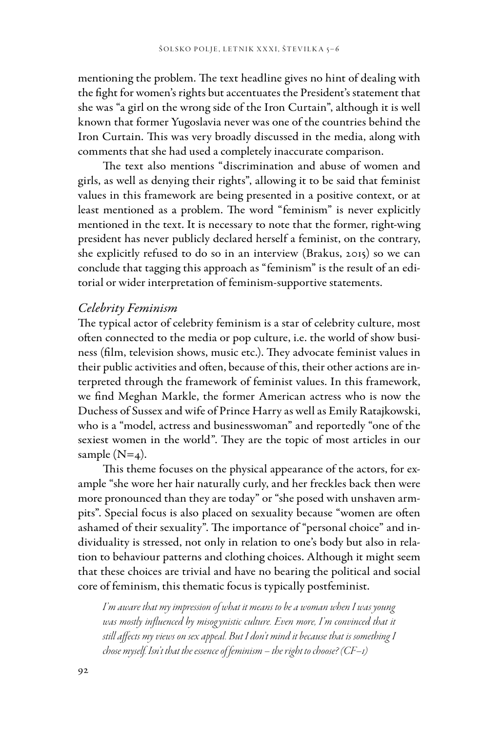mentioning the problem. The text headline gives no hint of dealing with the fight for women's rights but accentuates the President's statement that she was "a girl on the wrong side of the Iron Curtain", although it is well known that former Yugoslavia never was one of the countries behind the Iron Curtain. This was very broadly discussed in the media, along with comments that she had used a completely inaccurate comparison.

The text also mentions "discrimination and abuse of women and girls, as well as denying their rights", allowing it to be said that feminist values in this framework are being presented in a positive context, or at least mentioned as a problem. The word "feminism" is never explicitly mentioned in the text. It is necessary to note that the former, right-wing president has never publicly declared herself a feminist, on the contrary, she explicitly refused to do so in an interview (Brakus, 2015) so we can conclude that tagging this approach as "feminism" is the result of an editorial or wider interpretation of feminism-supportive statements.

#### *Celebrity Feminism*

The typical actor of celebrity feminism is a star of celebrity culture, most often connected to the media or pop culture, i.e. the world of show business (film, television shows, music etc.). They advocate feminist values in their public activities and often, because of this, their other actions are interpreted through the framework of feminist values. In this framework, we find Meghan Markle, the former American actress who is now the Duchess of Sussex and wife of Prince Harry as well as Emily Ratajkowski, who is a "model, actress and businesswoman" and reportedly "one of the sexiest women in the world". They are the topic of most articles in our sample  $(N=4)$ .

This theme focuses on the physical appearance of the actors, for example "she wore her hair naturally curly, and her freckles back then were more pronounced than they are today" or "she posed with unshaven armpits". Special focus is also placed on sexuality because "women are often ashamed of their sexuality". The importance of "personal choice" and individuality is stressed, not only in relation to one's body but also in relation to behaviour patterns and clothing choices. Although it might seem that these choices are trivial and have no bearing the political and social core of feminism, this thematic focus is typically postfeminist.

*I'm aware that my impression of what it means to be a woman when I was young*  was mostly influenced by misogynistic culture. Even more, I'm convinced that it *still affects my views on sex appeal. But I don't mind it because that is something I chose myself. Isn't that the essence of feminism – the right to choose? (CF–1)*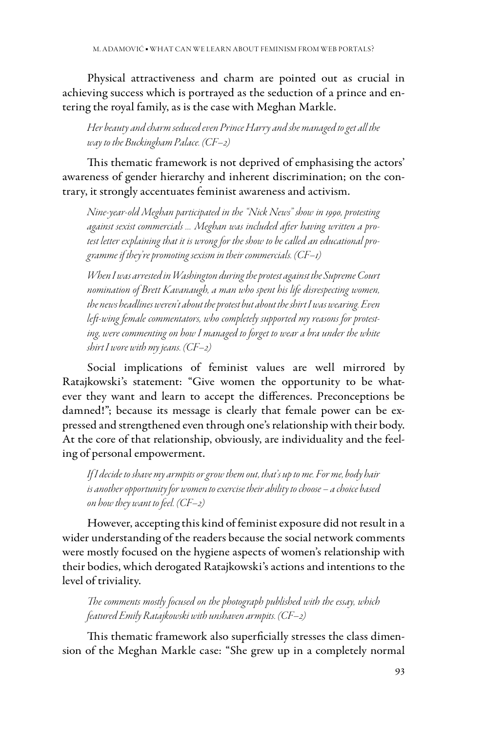Physical attractiveness and charm are pointed out as crucial in achieving success which is portrayed as the seduction of a prince and entering the royal family, as is the case with Meghan Markle.

*Her beauty and charm seduced even Prince Harry and she managed to get all the way to the Buckingham Palace. (CF–2)*

This thematic framework is not deprived of emphasising the actors' awareness of gender hierarchy and inherent discrimination; on the contrary, it strongly accentuates feminist awareness and activism.

*Nine-year-old Meghan participated in the "Nick News" show in 1990, protesting against sexist commercials … Meghan was included after having written a protest letter explaining that it is wrong for the show to be called an educational programme if they're promoting sexism in their commercials. (CF–1)*

*When I was arrested in Washington during the protest against the Supreme Court nomination of Brett Kavanaugh, a man who spent his life disrespecting women, the news headlines weren't about the protest but about the shirt I was wearing. Even left-wing female commentators, who completely supported my reasons for protesting, were commenting on how I managed to forget to wear a bra under the white shirt I wore with my jeans. (CF–2)*

Social implications of feminist values are well mirrored by Ratajkowski's statement: "Give women the opportunity to be whatever they want and learn to accept the differences. Preconceptions be damned!"; because its message is clearly that female power can be expressed and strengthened even through one's relationship with their body. At the core of that relationship, obviously, are individuality and the feeling of personal empowerment.

*If I decide to shave my armpits or grow them out, that's up to me. For me, body hair is another opportunity for women to exercise their ability to choose – a choice based on how they want to feel. (CF–2)*

However, accepting this kind of feminist exposure did not result in a wider understanding of the readers because the social network comments were mostly focused on the hygiene aspects of women's relationship with their bodies, which derogated Ratajkowski's actions and intentions to the level of triviality.

*The comments mostly focused on the photograph published with the essay, which featured Emily Ratajkowski with unshaven armpits. (CF–2)*

This thematic framework also superficially stresses the class dimension of the Meghan Markle case: "She grew up in a completely normal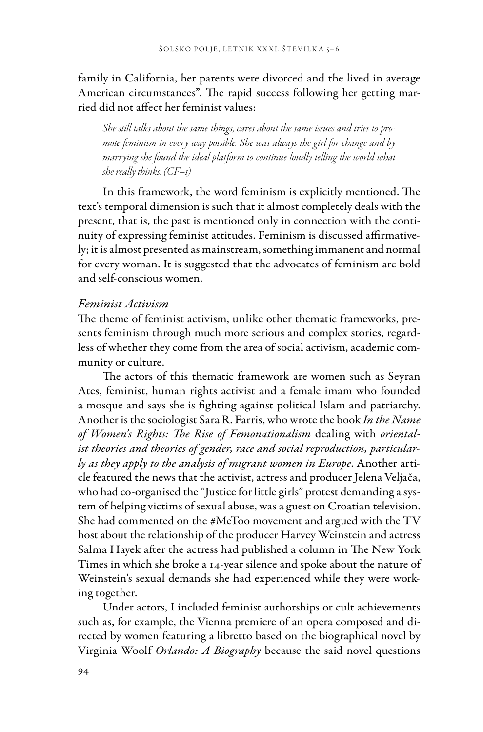family in California, her parents were divorced and the lived in average American circumstances". The rapid success following her getting married did not affect her feminist values:

*She still talks about the same things, cares about the same issues and tries to promote feminism in every way possible. She was always the girl for change and by marrying she found the ideal platform to continue loudly telling the world what she really thinks. (CF–1)*

In this framework, the word feminism is explicitly mentioned. The text's temporal dimension is such that it almost completely deals with the present, that is, the past is mentioned only in connection with the continuity of expressing feminist attitudes. Feminism is discussed affirmatively; it is almost presented as mainstream, something immanent and normal for every woman. It is suggested that the advocates of feminism are bold and self-conscious women.

#### *Feminist Activism*

The theme of feminist activism, unlike other thematic frameworks, presents feminism through much more serious and complex stories, regardless of whether they come from the area of social activism, academic community or culture.

The actors of this thematic framework are women such as Seyran Ates, feminist, human rights activist and a female imam who founded a mosque and says she is fighting against political Islam and patriarchy. Another is the sociologist Sara R. Farris, who wrote the book *In the Name of Women's Rights: The Rise of Femonationalism* dealing with *orientalist theories and theories of gender, race and social reproduction, particularly as they apply to the analysis of migrant women in Europe*. Another article featured the news that the activist, actress and producer Jelena Veljača, who had co-organised the "Justice for little girls" protest demanding a system of helping victims of sexual abuse, was a guest on Croatian television. She had commented on the #MeToo movement and argued with the TV host about the relationship of the producer Harvey Weinstein and actress Salma Hayek after the actress had published a column in The New York Times in which she broke a 14-year silence and spoke about the nature of Weinstein's sexual demands she had experienced while they were working together.

Under actors, I included feminist authorships or cult achievements such as, for example, the Vienna premiere of an opera composed and directed by women featuring a libretto based on the biographical novel by Virginia Woolf *Orlando: A Biography* because the said novel questions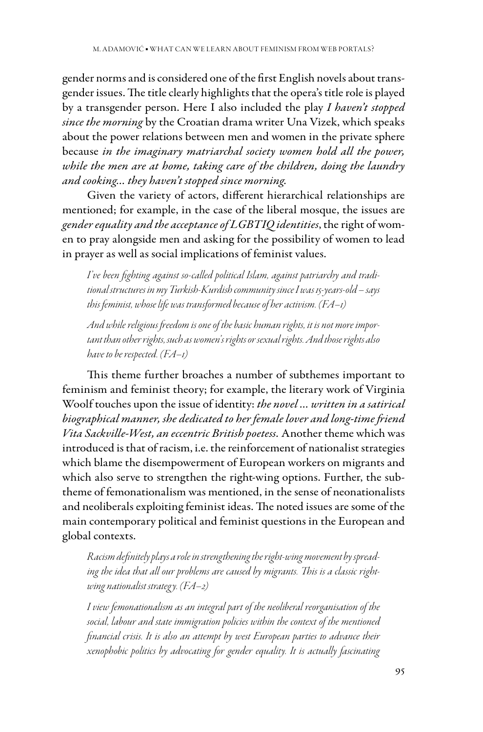gender norms and is considered one of the first English novels about transgender issues. The title clearly highlights that the opera's title role is played by a transgender person. Here I also included the play *I haven't stopped since the morning* by the Croatian drama writer Una Vizek, which speaks about the power relations between men and women in the private sphere because *in the imaginary matriarchal society women hold all the power, while the men are at home, taking care of the children, doing the laundry and cooking… they haven't stopped since morning.*

Given the variety of actors, different hierarchical relationships are mentioned; for example, in the case of the liberal mosque, the issues are *gender equality and the acceptance of LGBTIQ identities*, the right of women to pray alongside men and asking for the possibility of women to lead in prayer as well as social implications of feminist values.

*I've been fighting against so-called political Islam, against patriarchy and traditional structures in my Turkish-Kurdish community since I was 15-years-old – says this feminist, whose life was transformed because of her activism. (FA–1)*

*And while religious freedom is one of the basic human rights, it is not more important than other rights, such as women's rights or sexual rights. And those rights also have to be respected. (FA–1)*

This theme further broaches a number of subthemes important to feminism and feminist theory; for example, the literary work of Virginia Woolf touches upon the issue of identity: *the novel … written in a satirical biographical manner, she dedicated to her female lover and long-time friend Vita Sackville-West, an eccentric British poetess.* Another theme which was introduced is that of racism, i.e. the reinforcement of nationalist strategies which blame the disempowerment of European workers on migrants and which also serve to strengthen the right-wing options. Further, the subtheme of femonationalism was mentioned, in the sense of neonationalists and neoliberals exploiting feminist ideas. The noted issues are some of the main contemporary political and feminist questions in the European and global contexts.

*Racism definitely plays a role in strengthening the right-wing movement by spreading the idea that all our problems are caused by migrants. This is a classic rightwing nationalist strateg y. (FA–2)*

*I view femonationalism as an integral part of the neoliberal reorganisation of the social, labour and state immigration policies within the context of the mentioned financial crisis. It is also an attempt by west European parties to advance their xenophobic politics by advocating for gender equality. It is actually fascinating*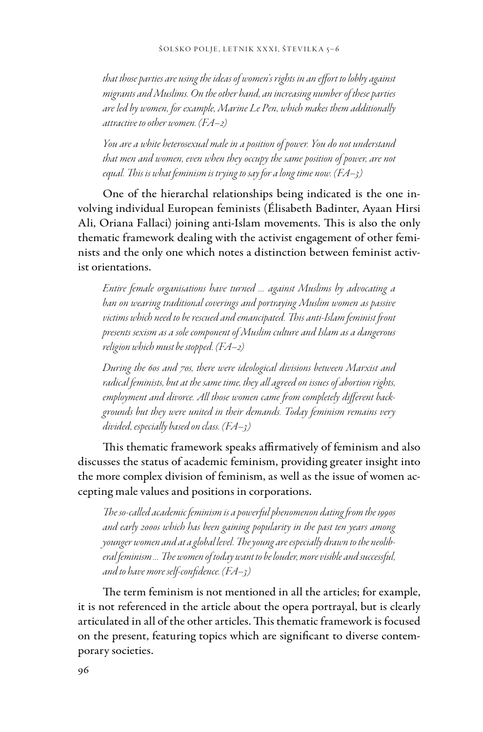*that those parties are using the ideas of women's rights in an effort to lobby against migrants and Muslims. On the other hand, an increasing number of these parties are led by women, for example, Marine Le Pen, which makes them additionally attractive to other women. (FA–2)*

*You are a white heterosexual male in a position of power. You do not understand that men and women, even when they occupy the same position of power, are not equal. This is what feminism is trying to say for a long time now. (FA–3)*

One of the hierarchal relationships being indicated is the one involving individual European feminists (Élisabeth Badinter, Ayaan Hirsi Ali, Oriana Fallaci) joining anti-Islam movements. This is also the only thematic framework dealing with the activist engagement of other feminists and the only one which notes a distinction between feminist activist orientations.

*Entire female organisations have turned … against Muslims by advocating a ban on wearing traditional coverings and portraying Muslim women as passive victims which need to be rescued and emancipated. This anti-Islam feminist front presents sexism as a sole component of Muslim culture and Islam as a dangerous religion which must be stopped. (FA–2)*

*During the 60s and 70s, there were ideological divisions between Marxist and radical feminists, but at the same time, they all agreed on issues of abortion rights, employment and divorce. All those women came from completely different backgrounds but they were united in their demands. Today feminism remains very divided, especially based on class. (FA–3)*

This thematic framework speaks affirmatively of feminism and also discusses the status of academic feminism, providing greater insight into the more complex division of feminism, as well as the issue of women accepting male values and positions in corporations.

*The so-called academic feminism is a powerful phenomenon dating from the 1990s and early 2000s which has been gaining popularity in the past ten years among younger women and at a global level. The young are especially drawn to the neoliberal feminism … The women of today want to be louder, more visible and successful, and to have more self-confidence. (FA–3)*

The term feminism is not mentioned in all the articles; for example, it is not referenced in the article about the opera portrayal, but is clearly articulated in all of the other articles. This thematic framework is focused on the present, featuring topics which are significant to diverse contemporary societies.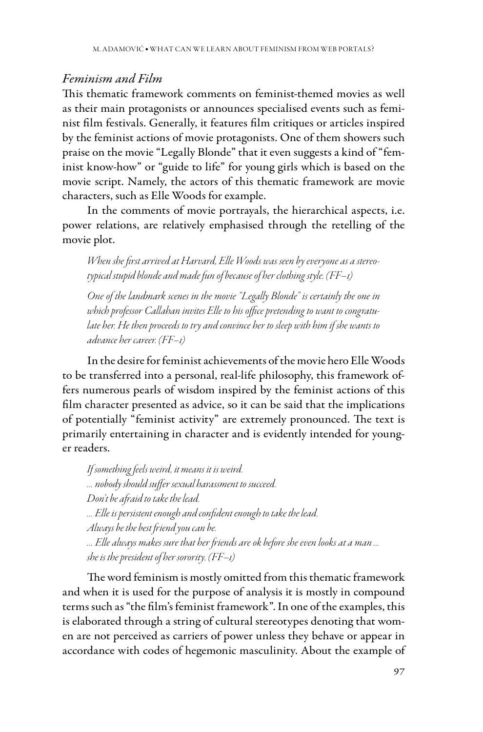# *Feminism and Film*

This thematic framework comments on feminist-themed movies as well as their main protagonists or announces specialised events such as feminist film festivals. Generally, it features film critiques or articles inspired by the feminist actions of movie protagonists. One of them showers such praise on the movie "Legally Blonde" that it even suggests a kind of "feminist know-how" or "guide to life" for young girls which is based on the movie script. Namely, the actors of this thematic framework are movie characters, such as Elle Woods for example.

In the comments of movie portrayals, the hierarchical aspects, i.e. power relations, are relatively emphasised through the retelling of the movie plot.

*When she first arrived at Harvard, Elle Woods was seen by everyone as a stereotypical stupid blonde and made fun of because of her clothing style. (FF–1)*

*One of the landmark scenes in the movie "Legally Blonde" is certainly the one in which professor Callahan invites Elle to his office pretending to want to congratulate her. He then proceeds to try and convince her to sleep with him if she wants to advance her career. (FF–1)*

In the desire for feminist achievements of the movie hero Elle Woods to be transferred into a personal, real-life philosophy, this framework offers numerous pearls of wisdom inspired by the feminist actions of this film character presented as advice, so it can be said that the implications of potentially "feminist activity" are extremely pronounced. The text is primarily entertaining in character and is evidently intended for younger readers.

*If something feels weird, it means it is weird. … nobody should suffer sexual harassment to succeed. Don't be afraid to take the lead. … Elle is persistent enough and confident enough to take the lead. Always be the best friend you can be. … Elle always makes sure that her friends are ok before she even looks at a man … she is the president of her sorority. (FF–1)*

The word feminism is mostly omitted from this thematic framework and when it is used for the purpose of analysis it is mostly in compound terms such as "the film's feminist framework". In one of the examples, this is elaborated through a string of cultural stereotypes denoting that women are not perceived as carriers of power unless they behave or appear in accordance with codes of hegemonic masculinity. About the example of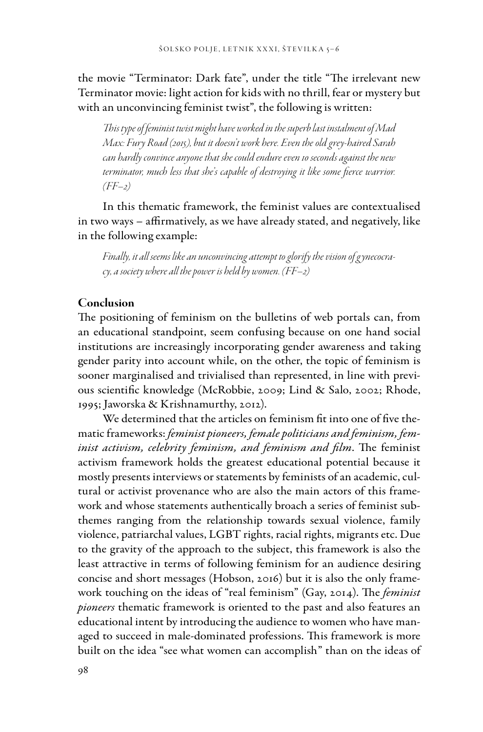the movie "Terminator: Dark fate", under the title "The irrelevant new Terminator movie: light action for kids with no thrill, fear or mystery but with an unconvincing feminist twist", the following is written:

*This type of feminist twist might have worked in the superb last instalment of Mad Max: Fury Road (2015), but it doesn't work here. Even the old grey-haired Sarah can hardly convince anyone that she could endure even 10 seconds against the new*  terminator, much less that she's capable of destroying it like some fierce warrior. *(FF–2)*

In this thematic framework, the feminist values are contextualised in two ways – affirmatively, as we have already stated, and negatively, like in the following example:

*Finally, it all seems like an unconvincing attempt to glorify the vision of g ynecocracy, a society where all the power is held by women. (FF–2)*

## Conclusion

The positioning of feminism on the bulletins of web portals can, from an educational standpoint, seem confusing because on one hand social institutions are increasingly incorporating gender awareness and taking gender parity into account while, on the other, the topic of feminism is sooner marginalised and trivialised than represented, in line with previous scientific knowledge (McRobbie, 2009; Lind & Salo, 2002; Rhode, 1995; Jaworska & Krishnamurthy, 2012).

We determined that the articles on feminism fit into one of five thematic frameworks: *feminist pioneers, female politicians and feminism, feminist activism, celebrity feminism, and feminism and film*. The feminist activism framework holds the greatest educational potential because it mostly presents interviews or statements by feminists of an academic, cultural or activist provenance who are also the main actors of this framework and whose statements authentically broach a series of feminist subthemes ranging from the relationship towards sexual violence, family violence, patriarchal values, LGBT rights, racial rights, migrants etc. Due to the gravity of the approach to the subject, this framework is also the least attractive in terms of following feminism for an audience desiring concise and short messages (Hobson, 2016) but it is also the only framework touching on the ideas of "real feminism" (Gay, 2014). The *feminist pioneers* thematic framework is oriented to the past and also features an educational intent by introducing the audience to women who have managed to succeed in male-dominated professions. This framework is more built on the idea "see what women can accomplish" than on the ideas of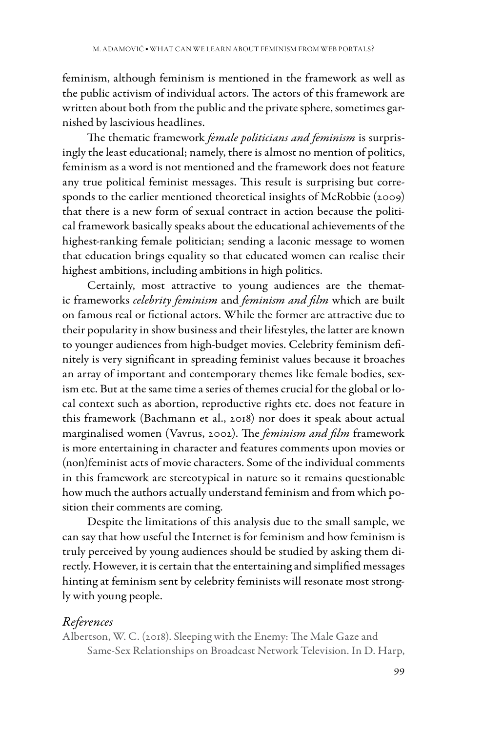feminism, although feminism is mentioned in the framework as well as the public activism of individual actors. The actors of this framework are written about both from the public and the private sphere, sometimes garnished by lascivious headlines.

The thematic framework *female politicians and feminism* is surprisingly the least educational; namely, there is almost no mention of politics, feminism as a word is not mentioned and the framework does not feature any true political feminist messages. This result is surprising but corresponds to the earlier mentioned theoretical insights of McRobbie (2009) that there is a new form of sexual contract in action because the political framework basically speaks about the educational achievements of the highest-ranking female politician; sending a laconic message to women that education brings equality so that educated women can realise their highest ambitions, including ambitions in high politics.

Certainly, most attractive to young audiences are the thematic frameworks *celebrity feminism* and *feminism and film* which are built on famous real or fictional actors. While the former are attractive due to their popularity in show business and their lifestyles, the latter are known to younger audiences from high-budget movies. Celebrity feminism definitely is very significant in spreading feminist values because it broaches an array of important and contemporary themes like female bodies, sexism etc. But at the same time a series of themes crucial for the global or local context such as abortion, reproductive rights etc. does not feature in this framework (Bachmann et al., 2018) nor does it speak about actual marginalised women (Vavrus, 2002). The *feminism and film* framework is more entertaining in character and features comments upon movies or (non)feminist acts of movie characters. Some of the individual comments in this framework are stereotypical in nature so it remains questionable how much the authors actually understand feminism and from which position their comments are coming.

Despite the limitations of this analysis due to the small sample, we can say that how useful the Internet is for feminism and how feminism is truly perceived by young audiences should be studied by asking them directly. However, it is certain that the entertaining and simplified messages hinting at feminism sent by celebrity feminists will resonate most strongly with young people.

## *References*

Albertson, W. C. (2018). Sleeping with the Enemy: The Male Gaze and Same-Sex Relationships on Broadcast Network Television. In D. Harp,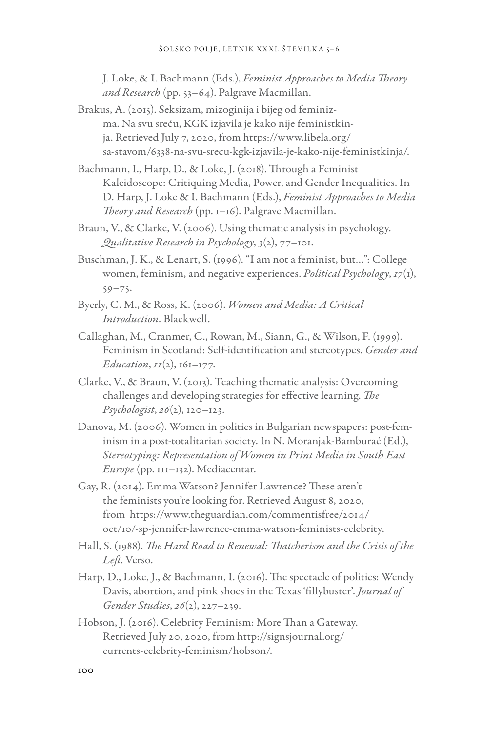J. Loke, & I. Bachmann (Eds.), *Feminist Approaches to Media Theory and Research* (pp. 53–64). Palgrave Macmillan.

- Brakus, A. (2015). Seksizam, mizoginija i bijeg od feminizma. Na svu sreću, KGK izjavila je kako nije feministkinja. Retrieved July 7, 2020, from https://www.libela.org/ sa-stavom/6338-na-svu-srecu-kgk-izjavila-je-kako-nije-feministkinja/.
- Bachmann, I., Harp, D., & Loke, J. (2018). Through a Feminist Kaleidoscope: Critiquing Media, Power, and Gender Inequalities. In D. Harp, J. Loke & I. Bachmann (Eds.), *Feminist Approaches to Media Theory and Research* (pp. 1–16). Palgrave Macmillan.
- Braun, V., & Clarke, V. (2006). Using thematic analysis in psychology. *Qualitative Research in Psychology*, *3*(2), 77–101.
- Buschman, J. K., & Lenart, S. (1996). "I am not a feminist, but…": College women, feminism, and negative experiences. *Political Psychology*, *17*(1), 59–75.
- Byerly, C. M., & Ross, K. (2006). *Women and Media: A Critical Introduction*. Blackwell.
- Callaghan, M., Cranmer, C., Rowan, M., Siann, G., & Wilson, F. (1999). Feminism in Scotland: Self-identification and stereotypes. *Gender and Education*,  $II(2)$ ,  $161–177$ .
- Clarke, V., & Braun, V. (2013). Teaching thematic analysis: Overcoming challenges and developing strategies for effective learning. *The Psychologist*, *26*(2), 120–123.
- Danova, M. (2006). Women in politics in Bulgarian newspapers: post-feminism in a post-totalitarian society. In N. Moranjak-Bamburać (Ed.), *Stereotyping: Representation of Women in Print Media in South East Europe* (pp. 111–132). Mediacentar.
- Gay, R. (2014). Emma Watson? Jennifer Lawrence? These aren't the feminists you're looking for. Retrieved August 8, 2020, from https://www.theguardian.com/commentisfree/2014/ oct/10/-sp-jennifer-lawrence-emma-watson-feminists-celebrity.
- Hall, S. (1988). *The Hard Road to Renewal: Thatcherism and the Crisis of the Left*. Verso.
- Harp, D., Loke, J., & Bachmann, I. (2016). The spectacle of politics: Wendy Davis, abortion, and pink shoes in the Texas 'fillybuster'. *Journal of Gender Studies*, *26*(2), 227–239.
- Hobson, J. (2016). Celebrity Feminism: More Than a Gateway. Retrieved July 20, 2020, from http://signsjournal.org/ currents-celebrity-feminism/hobson/.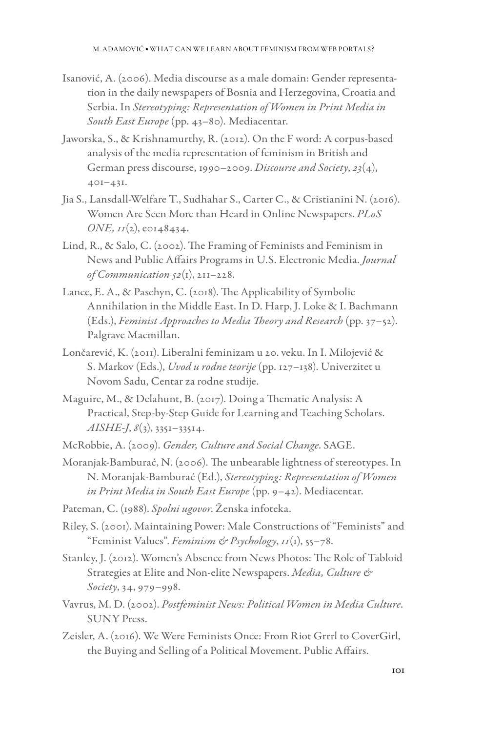- Isanović, A. (2006). Media discourse as a male domain: Gender representation in the daily newspapers of Bosnia and Herzegovina, Croatia and Serbia. In *Stereotyping: Representation of Women in Print Media in South East Europe* (pp. 43–80)*.* Mediacentar.
- Jaworska, S., & Krishnamurthy, R. (2012). On the F word: A corpus-based analysis of the media representation of feminism in British and German press discourse, 1990–2009. *Discourse and Society*, *23*(4), 401–431.
- Jia S., Lansdall-Welfare T., Sudhahar S., Carter C., & Cristianini N. (2016). Women Are Seen More than Heard in Online Newspapers. *PLoS*   $ONE, \text{II}(2), \text{e}0148434.$
- Lind, R., & Salo, C. (2002). The Framing of Feminists and Feminism in News and Public Affairs Programs in U.S. Electronic Media. *Journal of Communication 52*(1), 211–228.
- Lance, E. A., & Paschyn, C. (2018). The Applicability of Symbolic Annihilation in the Middle East. In D. Harp, J. Loke & I. Bachmann (Eds.), *Feminist Approaches to Media Theory and Research* (pp. 37–52). Palgrave Macmillan.
- Lončarević, K. (2011). Liberalni feminizam u 20. veku. In I. Milojević & S. Markov (Eds.), *Uvod u rodne teorije* (pp. 127–138). Univerzitet u Novom Sadu, Centar za rodne studije.
- Maguire, M., & Delahunt, B. (2017). Doing a Thematic Analysis: A Practical, Step-by-Step Guide for Learning and Teaching Scholars. *AISHE-J*, *8*(3), 3351–33514.

McRobbie, A. (2009). *Gender, Culture and Social Change*. SAGE.

- Moranjak-Bamburać, N. (2006). The unbearable lightness of stereotypes. In N. Moranjak-Bamburać (Ed.), *Stereotyping: Representation of Women in Print Media in South East Europe* (pp. 9–42). Mediacentar.
- Pateman, C. (1988). *Spolni ugovor*. Ženska infoteka.
- Riley, S. (2001). Maintaining Power: Male Constructions of "Feminists" and "Feminist Values". *Feminism & Psychology*, *11*(1), 55–78.
- Stanley, J. (2012). Women's Absence from News Photos: The Role of Tabloid Strategies at Elite and Non-elite Newspapers. *Media, Culture & Society*, 34, 979–998.
- Vavrus, M. D. (2002). *Postfeminist News: Political Women in Media Culture*. SUNY Press.
- Zeisler, A. (2016). We Were Feminists Once: From Riot Grrrl to CoverGirl, the Buying and Selling of a Political Movement. Public Affairs.